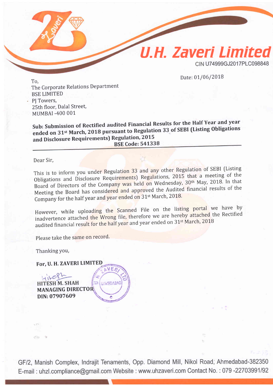

The Corporate Relations Department BSE LIMITED PJ Towers, 2sth floor, Dalal Street, MUMBAI .4OO OO1

sub: submission of Rectified audited Financial Results for the Half Year and year ended on 31<sup>st</sup> March, 2018 pursuant to Regulation 33 of SEBI (Listing Obligations and Disclosure Requirements) Regulation, 2015 BSE Code: 541338

Dear Sir,

This is to inform you under Regulation 33 and any other Regulation of SEBI (Listing Obligations and Disclosure Requirements) Regulations, 2015 that a meeting of the Board of Directors of the Company was held on Wednesday, 30<sup>th</sup> May, 2018. In that Meeting the Board has considered and approved the Audited financial results of the Company for the half year and year ended on 31<sup>st</sup> March, 2018.

However, while uploading the Scanned File on the listing portal we have by inadvertence attached the Wrong file, therefore we are hereby attached the Rectified audited financial result for the half year and year ended on 31<sup>st</sup> March, 2018

Please take the same on record.

Thanking You,

For, U. H. ZAVERI LIMITED **OVER** 

 $\sum_{k=1}^{\infty}$ 

 $e^{8t}$ **HITESH M. SHAH** MANAGING DIRECTOR DIN: O79O7609

GF/2, Manish Complex, Indrajit Tenaments, Opp. Diamond Mill, Nikol Road; Ahmedabad-382350 E-mail : uhzl.compliance@gmail.com Website : www.uhzaveri.com Contact No. : 079 -22703991/92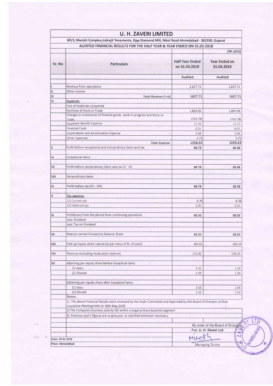|                                                                        | <b>U. H. ZAVERI LIMITED</b>                                                                                                                                       |                                  |                                    |  |
|------------------------------------------------------------------------|-------------------------------------------------------------------------------------------------------------------------------------------------------------------|----------------------------------|------------------------------------|--|
|                                                                        | GF/2, Manish Complex, Indrajit Tenaments, Opp-Diamond Mill, Nikol Road Ahmedabad - 382350, Gujarat                                                                |                                  |                                    |  |
| AUDITED FINANCIAL RESULTS FOR THE HALF YEAR & YEAR ENDED ON 31.03.2018 |                                                                                                                                                                   |                                  |                                    |  |
|                                                                        |                                                                                                                                                                   |                                  | (IN LACS)                          |  |
| Sr. No                                                                 | <b>Particulars</b>                                                                                                                                                | Half Year Ended<br>on 31.03.2018 | Year Ended on<br>31.03.2018        |  |
|                                                                        |                                                                                                                                                                   | Audited                          | Audited                            |  |
|                                                                        | Revenue from operations                                                                                                                                           | 1,627.71                         | 1,627.71                           |  |
| $\mathbf{H}$                                                           | Other Income                                                                                                                                                      |                                  |                                    |  |
| Ш                                                                      | Total Revenue (I +II)                                                                                                                                             | 1627.71                          | 1627.71                            |  |
| IV                                                                     | <b>Expenses:</b>                                                                                                                                                  |                                  |                                    |  |
|                                                                        | Cost of materials consumed                                                                                                                                        |                                  |                                    |  |
|                                                                        | Purchase of Stock-in-Trade                                                                                                                                        | 1,804.00                         | 1,804.00                           |  |
|                                                                        | Changes in inventories of finished goods, work-in-progress and Stock-in-                                                                                          |                                  |                                    |  |
|                                                                        | Trade                                                                                                                                                             | (263.78)                         | (263.78)                           |  |
|                                                                        | Employee Benefit Expense                                                                                                                                          | 12.93                            | 13.23                              |  |
|                                                                        | <b>Financial Costs</b>                                                                                                                                            | 0.01                             | 0.01                               |  |
|                                                                        | Depreciation and Amortization Expense                                                                                                                             | 2.04                             | 2.04                               |  |
|                                                                        | Other Expenses                                                                                                                                                    | 3.73                             | 3.73                               |  |
|                                                                        | <b>Total Expense</b>                                                                                                                                              | 1558.93                          | 1559.23                            |  |
| V                                                                      | Profit before exceptional and extraordinary items and tax                                                                                                         | 68.78                            | 68.48                              |  |
| ٧I                                                                     | <b>Exceptional Items</b>                                                                                                                                          |                                  |                                    |  |
| VII                                                                    | Profit before extraordinary items and tax (V - VI)                                                                                                                | 68.78                            | 68.48                              |  |
| VIII                                                                   | Extraordinary Items                                                                                                                                               |                                  |                                    |  |
|                                                                        |                                                                                                                                                                   |                                  |                                    |  |
| IX                                                                     | Profit before tax (VII - VIII)                                                                                                                                    | 68.78                            | 68.48                              |  |
| X                                                                      | Tax expense:                                                                                                                                                      |                                  |                                    |  |
|                                                                        | (1) Current tax                                                                                                                                                   | 8.38                             | 8.38                               |  |
|                                                                        | (2) Deferred tax                                                                                                                                                  | 0.05                             | 0.05                               |  |
| XI                                                                     | Profit(Loss) from the period from continuing operations                                                                                                           | 60.35                            | 60.05                              |  |
|                                                                        | Less: Dividend                                                                                                                                                    |                                  |                                    |  |
|                                                                        | Less: Tax on Dividend                                                                                                                                             |                                  |                                    |  |
| XII                                                                    | Balance carried Forward to Balance Sheet                                                                                                                          | 60.35                            | 60.05                              |  |
| XIII                                                                   | Paid-up Equity share capital (at par Value of Rs.10 each)                                                                                                         | 389.64                           | 389.64                             |  |
|                                                                        |                                                                                                                                                                   |                                  |                                    |  |
| XIV                                                                    | Reserves excluding revaluation reserves                                                                                                                           | 176.05                           | 176.05                             |  |
| XV                                                                     | a)Earning per equity share before Exceptinal items                                                                                                                |                                  |                                    |  |
|                                                                        | $(1)$ Basic                                                                                                                                                       | 1.55                             | 1.54                               |  |
|                                                                        | (2) Diluted                                                                                                                                                       | 1.55                             | 1.54                               |  |
|                                                                        | b)Earning per equity share after Exceptinal items                                                                                                                 |                                  |                                    |  |
|                                                                        | $(1)$ Basic                                                                                                                                                       | 1.55                             | 1.54                               |  |
|                                                                        | (2) Diluted                                                                                                                                                       | 1.55                             | 1.54                               |  |
|                                                                        | Notes:                                                                                                                                                            |                                  |                                    |  |
|                                                                        | 1). The above Financial Results were reviewed by the Audit Committee and Approved by the Board of Directors at their<br>respective Meeting held on 30th May, 2018 |                                  |                                    |  |
|                                                                        | 2) The Company's business activity fall within a singal primary business segment.                                                                                 |                                  |                                    |  |
|                                                                        | 3). Previous year's figures are re-grouped, re-classified wherever necessary.                                                                                     |                                  |                                    |  |
|                                                                        |                                                                                                                                                                   |                                  | By order of the Board of Directors |  |
|                                                                        |                                                                                                                                                                   |                                  | For, U. H. Zaveri Ltd              |  |
|                                                                        |                                                                                                                                                                   |                                  |                                    |  |
| Date: 30.05.2018                                                       |                                                                                                                                                                   |                                  |                                    |  |
| Place: Ahmedabad                                                       |                                                                                                                                                                   |                                  | Managing Dirctor                   |  |

 $LT$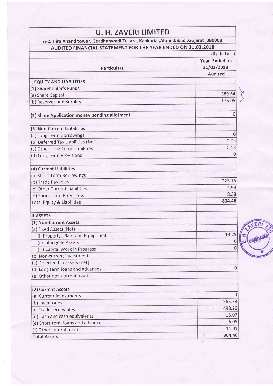| <b>U. H. ZAVERI LIMITED</b><br>A-2, Hira Anand tower, Gordhanwadi Tekara, Kankaria , Ahmedabad , Gujarat , 380008 |                  |  |
|-------------------------------------------------------------------------------------------------------------------|------------------|--|
| AUDITED FINANCIAL STATEMENT FOR THE YEAR ENDED ON 31.03.2018                                                      |                  |  |
| (Rs. In Lacs)                                                                                                     |                  |  |
|                                                                                                                   | Year Ended on    |  |
| <b>Particulars</b>                                                                                                | 31/03/2018       |  |
|                                                                                                                   | <b>Audited</b>   |  |
|                                                                                                                   |                  |  |
| <b>I. EQUITY AND LIABILITIES</b>                                                                                  |                  |  |
| (1) Shareholder's Funds                                                                                           | 389.64           |  |
| (a) Share Capital                                                                                                 | 176.05           |  |
| (b) Reserves and Surplus                                                                                          |                  |  |
| (2) Share Application money pending allotment                                                                     | 0                |  |
| (3) Non-Current Liabilities                                                                                       |                  |  |
| (a) Long-Term Borrowings                                                                                          | 0                |  |
| (b) Deferred Tax Liabilities (Net)                                                                                | 0.05             |  |
| (c) Other Long Term Liabilities                                                                                   | 0.18             |  |
| (d) Long Term Provisions                                                                                          | Ω                |  |
| (4) Current Liabilities                                                                                           |                  |  |
| (a) Short-Term Borrowings                                                                                         |                  |  |
| (b) Trade Payables                                                                                                | 225.16           |  |
| (c) Other Current Liabilities                                                                                     | 4.99             |  |
| (d) Short-Term Provisions                                                                                         | 8.38             |  |
| <b>Total Equity &amp; Liabilities</b>                                                                             | 804.46           |  |
| <b>II.ASSETS</b>                                                                                                  |                  |  |
| (1) Non-Current Assets                                                                                            |                  |  |
| (a) Fixed Assets (Net)                                                                                            |                  |  |
| (i) Property, Plant and Equipment                                                                                 | 13.29            |  |
| (ii) Intangible Assets                                                                                            |                  |  |
| (iii) Capital Work in Progress                                                                                    | Ω                |  |
| (b) Non-current investments                                                                                       |                  |  |
| (c) Deferred tax assets (net)                                                                                     |                  |  |
| (d) Long term loans and advances                                                                                  | 0                |  |
| (e) Other non-current assets                                                                                      |                  |  |
| (2) Current Assets                                                                                                |                  |  |
| (a) Current investments                                                                                           | $\left( \right)$ |  |
| (b) Inventories                                                                                                   | 263.78           |  |
| (c) Trade receivables                                                                                             | 498.26           |  |
| (d) Cash and cash equivalents                                                                                     | 13.07            |  |
| (e) Short-term loans and advances                                                                                 | 5.05             |  |
| (f) Other current assets                                                                                          | 11.01            |  |
| <b>Total Assets</b>                                                                                               | GHT-<br>804.46   |  |

**VER**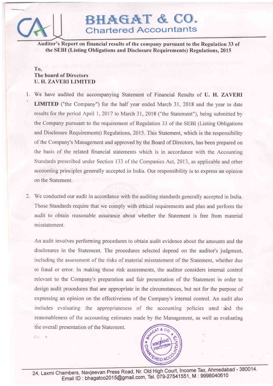

 $\circ$  .

# BHAGAT & CO. Chartered Accountants

Auditor's Report on financial results of the company pursuant to the Regulation 33 of the SEBI (Listing Obligations and Disclosure Requirements) Regulations,20l5

## To, The board of Directors U. H. ZAVERI LIMITED

- 1. We have audited the accompanying Statement of Financial Results of U. H. ZAVERI LIMITED ("the Company") for the half year ended March 31, 2018 and the year to date results for the period April 1, 2017 to March 31, 2018 ("the Statement"), being submitted by the Company pursuant to the requirement of Regulation 33 of the SEBI (Listing Obligations and Disclosure Requirements) Regulations,20l5. This Statement, which is the responsibility of the Company's Management and approved by the Board of Directors, has been prepared on the basis of the related financial statements which is in accordance with the Accounting Standards prescribed under Section 133 of the Companies Act, 2013, as applicable and other accounting principles generally accepted in India. Our responsibility is to express an opinion on the Statement.
- 2. We conducted our audit in accordance with the auditing standards generally accepted in India. Those Standards require that we comply with ethical requirements and plan and perform the audit to obtain reasonable assurance about whether the Statement is free from material misstatement.

An audit involves performing procedures to obtain audit evidence about the amounts and the disclosures in the Statement. The procedures selected depend on the auditor's judgment, including the assessment of the risks of material misstatement of the Statement, whether due to fraud or error. In making those risk assessments, the auditor considers internal control relevant to the Company's preparation and fair presentation of the Statement in order to design audit procedures that are appropriate in the circumstances, but not for the purpose of expressing an opinion on the effectiveness of the Company's internal control. An audit also includes evaluating the appropriateness of the accounting policies used and the reasonableness of the accounting estimates made by the Management, as well as evaluating the overall presentation of the Statement.



24, Laxmi Chambers, Navjeevan Press Road, Nr. Old High Court, Income Tax, Ahmedabad - 380014. Email ID : bhagatco2015@gmail.com, Tel. 079-27541551, M : 9998040610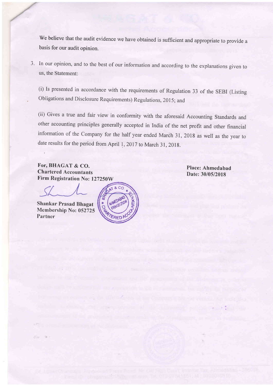We believe that the audit evidence we have obtained is sufficient and appropriate to provide <sup>a</sup> basis for our audit opinion.

3. In our opinion, and to the best of our information and according to the explanations given to us, the Statement:

(i) Is presented in accordance with the requirements of Regulation 33 of the SEBI (Listing obligations and Disclosure Requirements) Regulations, 2015; and

(ii) Gives a true and fair view in conformity with the aforesaid Accounting Standards and other accounting principles generally accepted in India of the net profit and other financial information of the Company for the half year ended March 31, 2018 as well as the year to date results for the period from April 1, 2017 to March 31, 2018

For, BHAGAT & CO. Chartcrcd Accountants

Firm Registration No: 127250W<br>SLAM S

Shankar Prasad Bhagat Membership No: 052725 Partncr

 $\Rightarrow$   $\bullet$ 



Place: Ahmedabad Date: 30/05/2018